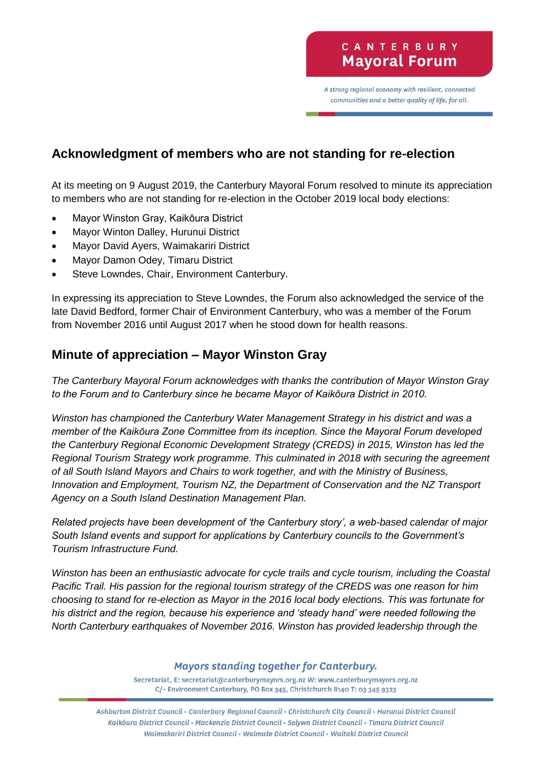A strong regional economy with resilient, connected communities and a better quality of life, for all.

# **Acknowledgment of members who are not standing for re-election**

At its meeting on 9 August 2019, the Canterbury Mayoral Forum resolved to minute its appreciation to members who are not standing for re-election in the October 2019 local body elections:

- Mayor Winston Gray, Kaikōura District
- Mayor Winton Dalley, Hurunui District
- Mayor David Ayers, Waimakariri District
- Mayor Damon Odey, Timaru District
- Steve Lowndes, Chair, Environment Canterbury.

In expressing its appreciation to Steve Lowndes, the Forum also acknowledged the service of the late David Bedford, former Chair of Environment Canterbury, who was a member of the Forum from November 2016 until August 2017 when he stood down for health reasons.

#### **Minute of appreciation – Mayor Winston Gray**

*The Canterbury Mayoral Forum acknowledges with thanks the contribution of Mayor Winston Gray to the Forum and to Canterbury since he became Mayor of Kaikōura District in 2010.* 

*Winston has championed the Canterbury Water Management Strategy in his district and was a member of the Kaikōura Zone Committee from its inception. Since the Mayoral Forum developed the Canterbury Regional Economic Development Strategy (CREDS) in 2015, Winston has led the Regional Tourism Strategy work programme. This culminated in 2018 with securing the agreement of all South Island Mayors and Chairs to work together, and with the Ministry of Business, Innovation and Employment, Tourism NZ, the Department of Conservation and the NZ Transport Agency on a South Island Destination Management Plan.* 

*Related projects have been development of 'the Canterbury story', a web-based calendar of major South Island events and support for applications by Canterbury councils to the Government's Tourism Infrastructure Fund.*

*Winston has been an enthusiastic advocate for cycle trails and cycle tourism, including the Coastal Pacific Trail. His passion for the regional tourism strategy of the CREDS was one reason for him choosing to stand for re-election as Mayor in the 2016 local body elections. This was fortunate for his district and the region, because his experience and 'steady hand' were needed following the North Canterbury earthquakes of November 2016. Winston has provided leadership through the* 

#### **Mayors standing together for Canterbury.**

Secretariat, E: secretariat@canterburymayors.org.nz W: www.canterburymayors.org.nz C/- Environment Canterbury, PO Box 345, Christchurch 8140 T: 03 345 9323

Ashburton District Council · Canterbury Regional Council · Christchurch City Council · Hurunui District Council Kaikoura District Council · Mackenzie District Council · Selywn District Council · Timaru District Council Waimakariri District Council · Waimate District Council · Waitaki District Council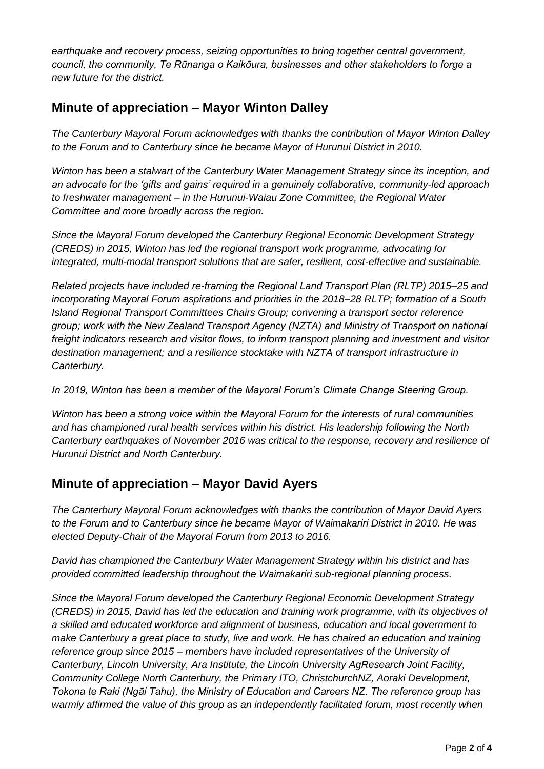*earthquake and recovery process, seizing opportunities to bring together central government, council, the community, Te Rūnanga o Kaikōura, businesses and other stakeholders to forge a new future for the district.*

### **Minute of appreciation – Mayor Winton Dalley**

*The Canterbury Mayoral Forum acknowledges with thanks the contribution of Mayor Winton Dalley to the Forum and to Canterbury since he became Mayor of Hurunui District in 2010.*

*Winton has been a stalwart of the Canterbury Water Management Strategy since its inception, and an advocate for the 'gifts and gains' required in a genuinely collaborative, community-led approach to freshwater management – in the Hurunui-Waiau Zone Committee, the Regional Water Committee and more broadly across the region.*

*Since the Mayoral Forum developed the Canterbury Regional Economic Development Strategy (CREDS) in 2015, Winton has led the regional transport work programme, advocating for integrated, multi-modal transport solutions that are safer, resilient, cost-effective and sustainable.*

*Related projects have included re-framing the Regional Land Transport Plan (RLTP) 2015–25 and incorporating Mayoral Forum aspirations and priorities in the 2018–28 RLTP; formation of a South Island Regional Transport Committees Chairs Group; convening a transport sector reference group; work with the New Zealand Transport Agency (NZTA) and Ministry of Transport on national freight indicators research and visitor flows, to inform transport planning and investment and visitor destination management; and a resilience stocktake with NZTA of transport infrastructure in Canterbury.*

*In 2019, Winton has been a member of the Mayoral Forum's Climate Change Steering Group.*

*Winton has been a strong voice within the Mayoral Forum for the interests of rural communities and has championed rural health services within his district. His leadership following the North Canterbury earthquakes of November 2016 was critical to the response, recovery and resilience of Hurunui District and North Canterbury.*

# **Minute of appreciation – Mayor David Ayers**

*The Canterbury Mayoral Forum acknowledges with thanks the contribution of Mayor David Ayers to the Forum and to Canterbury since he became Mayor of Waimakariri District in 2010. He was elected Deputy-Chair of the Mayoral Forum from 2013 to 2016.*

*David has championed the Canterbury Water Management Strategy within his district and has provided committed leadership throughout the Waimakariri sub-regional planning process.*

*Since the Mayoral Forum developed the Canterbury Regional Economic Development Strategy (CREDS) in 2015, David has led the education and training work programme, with its objectives of a skilled and educated workforce and alignment of business, education and local government to make Canterbury a great place to study, live and work. He has chaired an education and training reference group since 2015 – members have included representatives of the University of Canterbury, Lincoln University, Ara Institute, the Lincoln University AgResearch Joint Facility, Community College North Canterbury, the Primary ITO, ChristchurchNZ, Aoraki Development, Tokona te Raki (Ngāi Tahu), the Ministry of Education and Careers NZ. The reference group has warmly affirmed the value of this group as an independently facilitated forum, most recently when*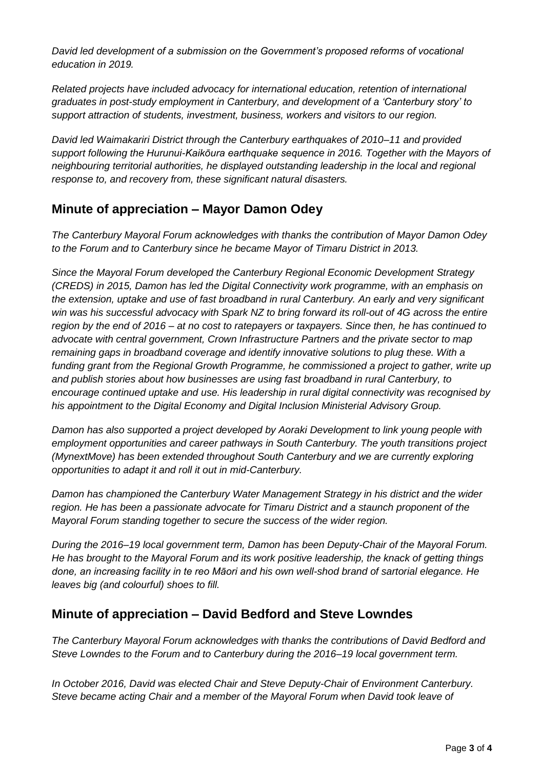*David led development of a submission on the Government's proposed reforms of vocational education in 2019.*

*Related projects have included advocacy for international education, retention of international graduates in post-study employment in Canterbury, and development of a 'Canterbury story' to support attraction of students, investment, business, workers and visitors to our region.*

*David led Waimakariri District through the Canterbury earthquakes of 2010–11 and provided support following the Hurunui-Kaikōura earthquake sequence in 2016. Together with the Mayors of neighbouring territorial authorities, he displayed outstanding leadership in the local and regional response to, and recovery from, these significant natural disasters.*

# **Minute of appreciation – Mayor Damon Odey**

*The Canterbury Mayoral Forum acknowledges with thanks the contribution of Mayor Damon Odey to the Forum and to Canterbury since he became Mayor of Timaru District in 2013.* 

*Since the Mayoral Forum developed the Canterbury Regional Economic Development Strategy (CREDS) in 2015, Damon has led the Digital Connectivity work programme, with an emphasis on the extension, uptake and use of fast broadband in rural Canterbury. An early and very significant win was his successful advocacy with Spark NZ to bring forward its roll-out of 4G across the entire region by the end of 2016 – at no cost to ratepayers or taxpayers. Since then, he has continued to advocate with central government, Crown Infrastructure Partners and the private sector to map remaining gaps in broadband coverage and identify innovative solutions to plug these. With a funding grant from the Regional Growth Programme, he commissioned a project to gather, write up and publish stories about how businesses are using fast broadband in rural Canterbury, to encourage continued uptake and use. His leadership in rural digital connectivity was recognised by his appointment to the Digital Economy and Digital Inclusion Ministerial Advisory Group.*

*Damon has also supported a project developed by Aoraki Development to link young people with employment opportunities and career pathways in South Canterbury. The youth transitions project (MynextMove) has been extended throughout South Canterbury and we are currently exploring opportunities to adapt it and roll it out in mid-Canterbury.* 

*Damon has championed the Canterbury Water Management Strategy in his district and the wider region. He has been a passionate advocate for Timaru District and a staunch proponent of the Mayoral Forum standing together to secure the success of the wider region.*

*During the 2016–19 local government term, Damon has been Deputy-Chair of the Mayoral Forum. He has brought to the Mayoral Forum and its work positive leadership, the knack of getting things done, an increasing facility in te reo Māori and his own well-shod brand of sartorial elegance. He leaves big (and colourful) shoes to fill.*

# **Minute of appreciation – David Bedford and Steve Lowndes**

*The Canterbury Mayoral Forum acknowledges with thanks the contributions of David Bedford and Steve Lowndes to the Forum and to Canterbury during the 2016–19 local government term.* 

*In October 2016, David was elected Chair and Steve Deputy-Chair of Environment Canterbury. Steve became acting Chair and a member of the Mayoral Forum when David took leave of*